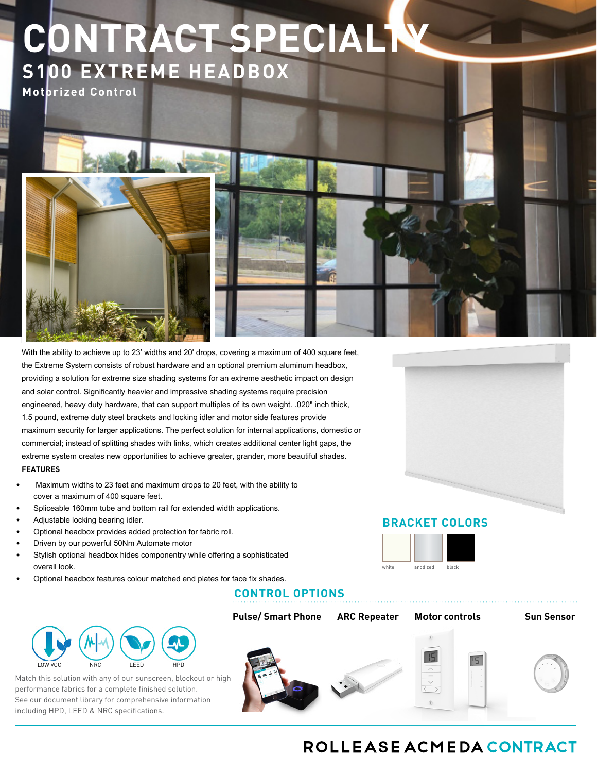# **CONTRACT SPECIALTY S100 EXTREME HEADBOX**

**Motorized Control**

With the ability to achieve up to 23' widths and 20' drops, covering a maximum of 400 square feet, the Extreme System consists of robust hardware and an optional premium aluminum headbox, providing a solution for extreme size shading systems for an extreme aesthetic impact on design and solar control. Significantly heavier and impressive shading systems require precision engineered, heavy duty hardware, that can support multiples of its own weight. .020" inch thick, 1.5 pound, extreme duty steel brackets and locking idler and motor side features provide maximum security for larger applications. The perfect solution for internal applications, domestic or commercial; instead of splitting shades with links, which creates additional center light gaps, the extreme system creates new opportunities to achieve greater, grander, more beautiful shades. **FEATURES**

- Maximum widths to 23 feet and maximum drops to 20 feet, with the ability to cover a maximum of 400 square feet.
- Spliceable 160mm tube and bottom rail for extended width applications.
- Adjustable locking bearing idler.
- Optional headbox provides added protection for fabric roll.
- Driven by our powerful 50Nm Automate motor
- Stylish optional headbox hides componentry while offering a sophisticated overall look.
- Optional headbox features colour matched end plates for face fix shades.

# **CONTROL OPTIONS**



Match this solution with any of our sunscreen, blockout or high performance fabrics for a complete finished solution. See our document library for comprehensive information including HPD, LEED & NRC specifications.

**Pulse/ Smart Phone ARC Repeater Motor controls Sun Sensor** - 15

## **BRACKET COLORS**